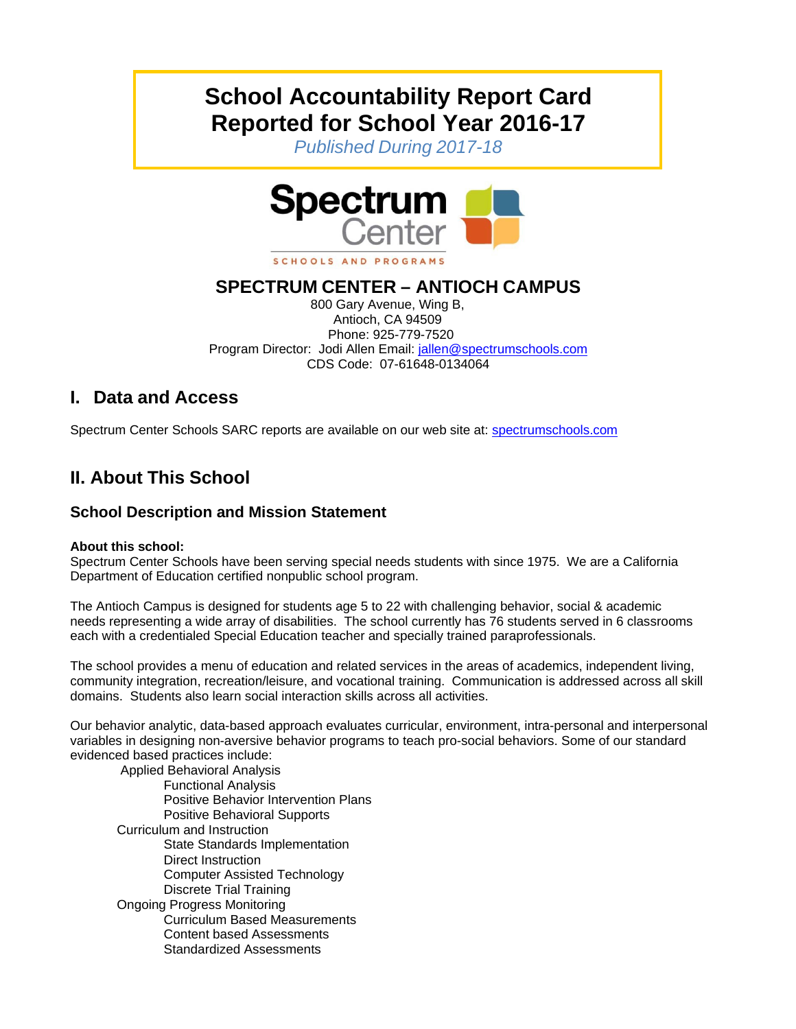# **School Accountability Report Card Reported for School Year 2016-17**

*Published During 2017-18*



## **SPECTRUM CENTER – ANTIOCH CAMPUS**

800 Gary Avenue, Wing B, Antioch, CA 94509 Phone: 925-779-7520 Program Director: Jodi Allen Email: jallen@spectrumschools.com CDS Code: 07-61648-0134064

## **I. Data and Access**

Spectrum Center Schools SARC reports are available on our web site at: spectrumschools.com

## **II. About This School**

## **School Description and Mission Statement**

#### **About this school:**

Spectrum Center Schools have been serving special needs students with since 1975. We are a California Department of Education certified nonpublic school program.

The Antioch Campus is designed for students age 5 to 22 with challenging behavior, social & academic needs representing a wide array of disabilities. The school currently has 76 students served in 6 classrooms each with a credentialed Special Education teacher and specially trained paraprofessionals.

The school provides a menu of education and related services in the areas of academics, independent living, community integration, recreation/leisure, and vocational training. Communication is addressed across all skill domains. Students also learn social interaction skills across all activities.

Our behavior analytic, data-based approach evaluates curricular, environment, intra-personal and interpersonal variables in designing non-aversive behavior programs to teach pro-social behaviors. Some of our standard evidenced based practices include:

Applied Behavioral Analysis Functional Analysis Positive Behavior Intervention Plans Positive Behavioral Supports Curriculum and Instruction State Standards Implementation Direct Instruction Computer Assisted Technology Discrete Trial Training Ongoing Progress Monitoring Curriculum Based Measurements Content based Assessments Standardized Assessments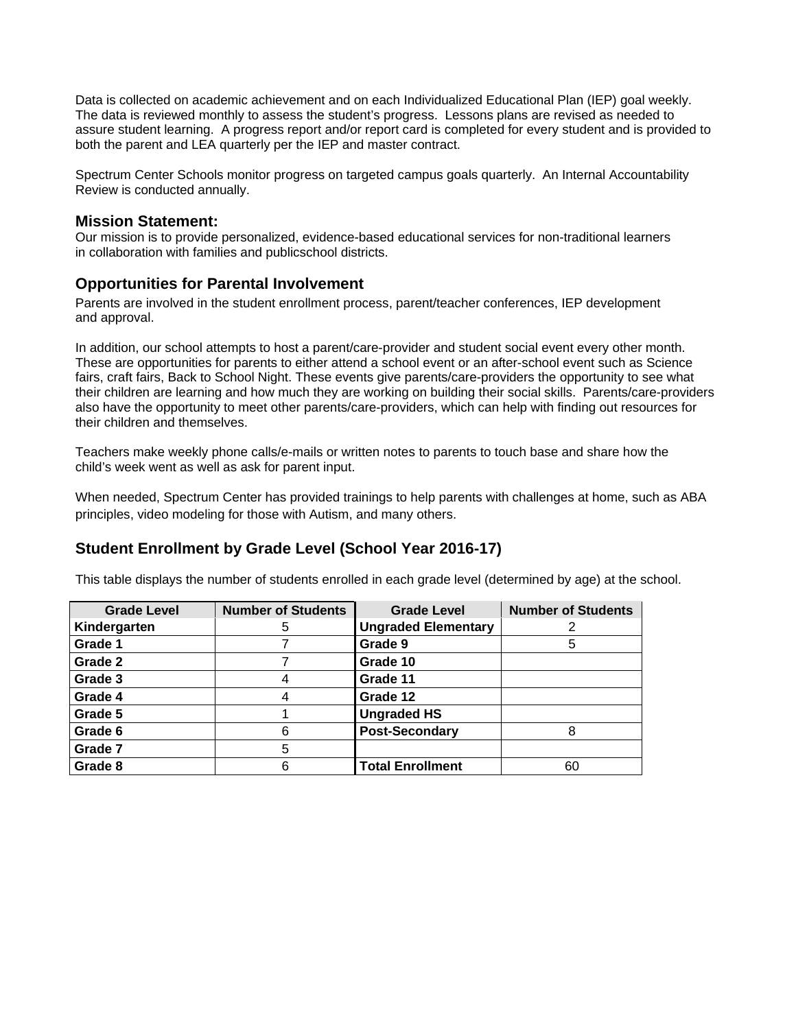Data is collected on academic achievement and on each Individualized Educational Plan (IEP) goal weekly. The data is reviewed monthly to assess the student's progress. Lessons plans are revised as needed to assure student learning. A progress report and/or report card is completed for every student and is provided to both the parent and LEA quarterly per the IEP and master contract.

Spectrum Center Schools monitor progress on targeted campus goals quarterly. An Internal Accountability Review is conducted annually.

#### **Mission Statement:**

Our mission is to provide personalized, evidence-based educational services for non-traditional learners in collaboration with families and publicschool districts.

#### **Opportunities for Parental Involvement**

Parents are involved in the student enrollment process, parent/teacher conferences, IEP development and approval.

In addition, our school attempts to host a parent/care-provider and student social event every other month. These are opportunities for parents to either attend a school event or an after-school event such as Science fairs, craft fairs, Back to School Night. These events give parents/care-providers the opportunity to see what their children are learning and how much they are working on building their social skills. Parents/care-providers also have the opportunity to meet other parents/care-providers, which can help with finding out resources for their children and themselves.

Teachers make weekly phone calls/e-mails or written notes to parents to touch base and share how the child's week went as well as ask for parent input.

When needed, Spectrum Center has provided trainings to help parents with challenges at home, such as ABA principles, video modeling for those with Autism, and many others.

### **Student Enrollment by Grade Level (School Year 2016-17)**

This table displays the number of students enrolled in each grade level (determined by age) at the school.

| <b>Grade Level</b> | <b>Number of Students</b> | <b>Grade Level</b>         | <b>Number of Students</b> |
|--------------------|---------------------------|----------------------------|---------------------------|
| Kindergarten       | 5                         | <b>Ungraded Elementary</b> |                           |
| Grade 1            |                           | Grade 9                    | 5                         |
| Grade 2            |                           | Grade 10                   |                           |
| Grade 3            |                           | Grade 11                   |                           |
| Grade 4            |                           | Grade 12                   |                           |
| Grade 5            |                           | <b>Ungraded HS</b>         |                           |
| Grade 6            | 6                         | <b>Post-Secondary</b>      |                           |
| Grade 7            | 5                         |                            |                           |
| Grade 8            | 6                         | <b>Total Enrollment</b>    | 60                        |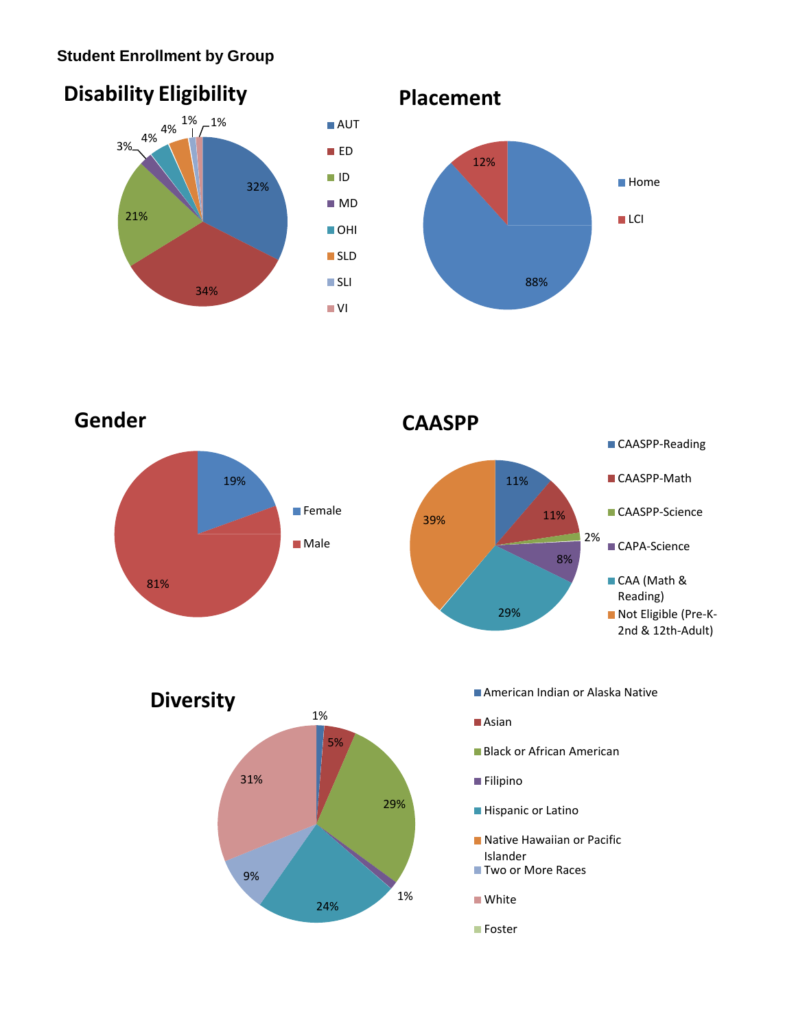## **Student Enrollment by Group**



**Gender CAASPP** 81% 19% **Female Male** 





- 
- ■Asian
- 
- **Filipino**
- **Hispanic or Latino**
- **Native Hawaiian or Pacific** Islander
- Two or More Races
- **White**
- **Foster**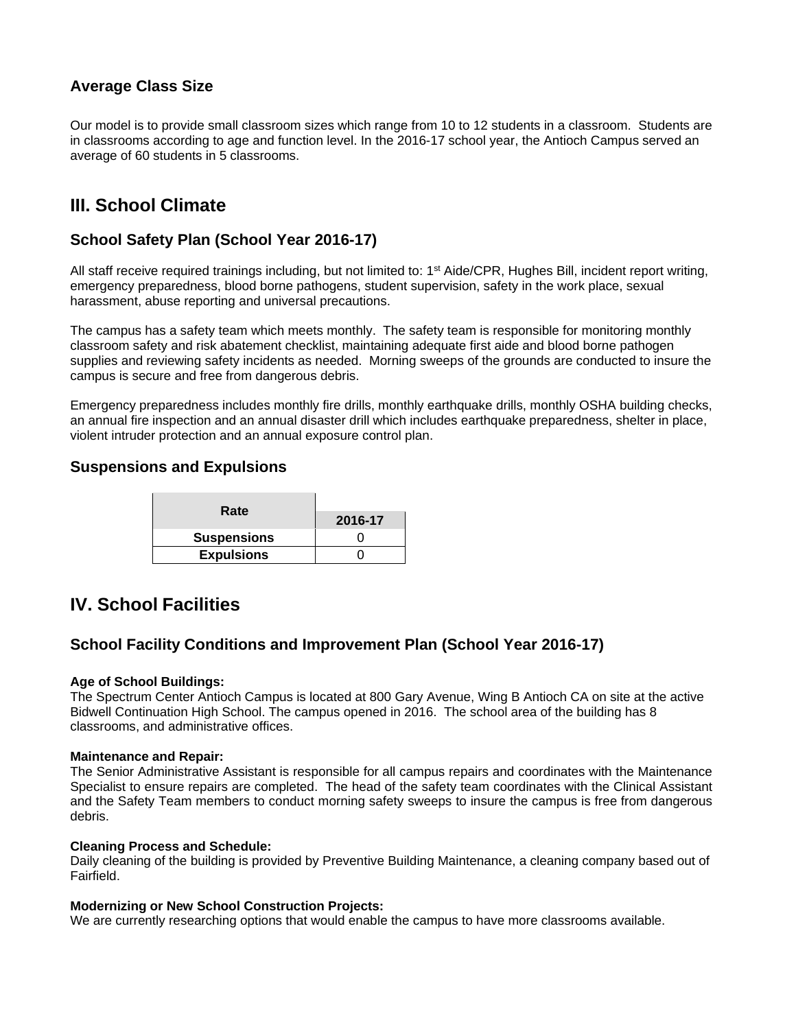## **Average Class Size**

Our model is to provide small classroom sizes which range from 10 to 12 students in a classroom. Students are in classrooms according to age and function level. In the 2016-17 school year, the Antioch Campus served an average of 60 students in 5 classrooms.

## **III. School Climate**

### **School Safety Plan (School Year 2016-17)**

All staff receive required trainings including, but not limited to:  $1<sup>st</sup>$  Aide/CPR, Hughes Bill, incident report writing, emergency preparedness, blood borne pathogens, student supervision, safety in the work place, sexual harassment, abuse reporting and universal precautions.

The campus has a safety team which meets monthly. The safety team is responsible for monitoring monthly classroom safety and risk abatement checklist, maintaining adequate first aide and blood borne pathogen supplies and reviewing safety incidents as needed. Morning sweeps of the grounds are conducted to insure the campus is secure and free from dangerous debris.

Emergency preparedness includes monthly fire drills, monthly earthquake drills, monthly OSHA building checks, an annual fire inspection and an annual disaster drill which includes earthquake preparedness, shelter in place, violent intruder protection and an annual exposure control plan.

#### **Suspensions and Expulsions**

| Rate               | 2016-17 |
|--------------------|---------|
| <b>Suspensions</b> |         |
| <b>Expulsions</b>  |         |

## **IV. School Facilities**

#### **School Facility Conditions and Improvement Plan (School Year 2016-17)**

#### **Age of School Buildings:**

The Spectrum Center Antioch Campus is located at 800 Gary Avenue, Wing B Antioch CA on site at the active Bidwell Continuation High School. The campus opened in 2016. The school area of the building has 8 classrooms, and administrative offices.

#### **Maintenance and Repair:**

The Senior Administrative Assistant is responsible for all campus repairs and coordinates with the Maintenance Specialist to ensure repairs are completed. The head of the safety team coordinates with the Clinical Assistant and the Safety Team members to conduct morning safety sweeps to insure the campus is free from dangerous debris.

#### **Cleaning Process and Schedule:**

Daily cleaning of the building is provided by Preventive Building Maintenance, a cleaning company based out of Fairfield.

#### **Modernizing or New School Construction Projects:**

We are currently researching options that would enable the campus to have more classrooms available.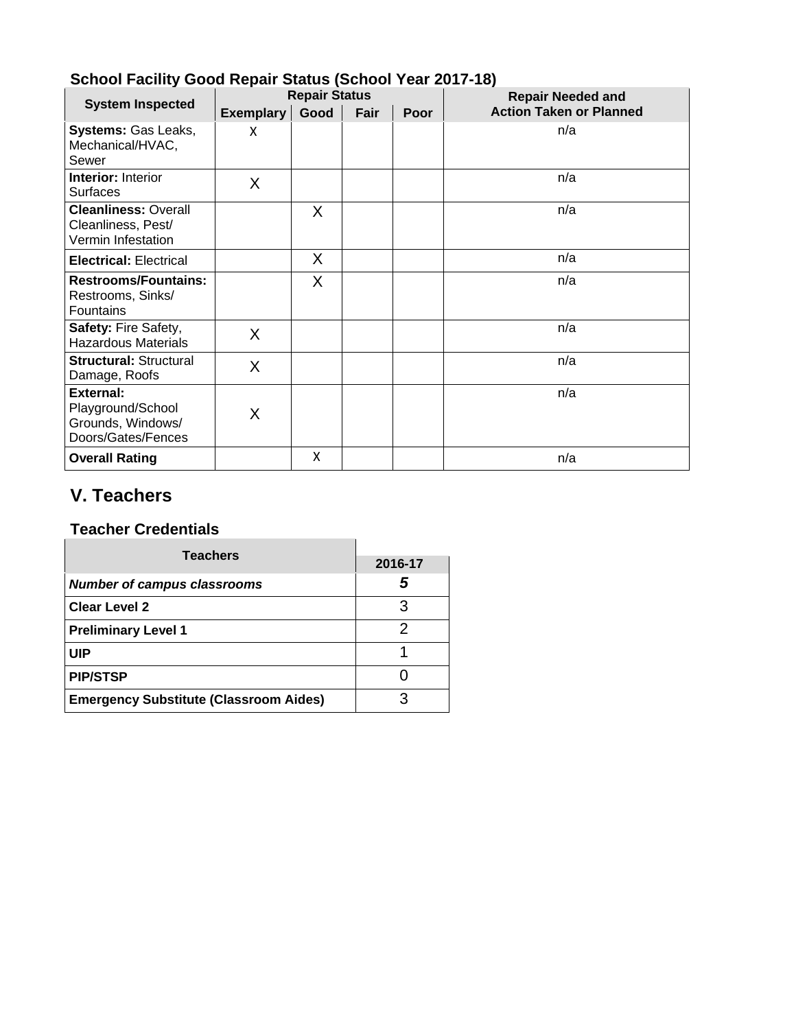|                                                                                  | <b>Repair Status</b> |      |      |      | <b>Repair Needed and</b>       |  |
|----------------------------------------------------------------------------------|----------------------|------|------|------|--------------------------------|--|
| <b>System Inspected</b>                                                          | Exemplary            | Good | Fair | Poor | <b>Action Taken or Planned</b> |  |
| Systems: Gas Leaks,<br>Mechanical/HVAC,<br>Sewer                                 | X                    |      |      |      | n/a                            |  |
| <b>Interior: Interior</b><br><b>Surfaces</b>                                     | X                    |      |      |      | n/a                            |  |
| <b>Cleanliness: Overall</b><br>Cleanliness, Pest/<br>Vermin Infestation          |                      | X    |      |      | n/a                            |  |
| <b>Electrical: Electrical</b>                                                    |                      | χ    |      |      | n/a                            |  |
| <b>Restrooms/Fountains:</b><br>Restrooms, Sinks/<br>Fountains                    |                      | X    |      |      | n/a                            |  |
| Safety: Fire Safety,<br><b>Hazardous Materials</b>                               | X                    |      |      |      | n/a                            |  |
| <b>Structural: Structural</b><br>Damage, Roofs                                   | X                    |      |      |      | n/a                            |  |
| <b>External:</b><br>Playground/School<br>Grounds, Windows/<br>Doors/Gates/Fences | X                    |      |      |      | n/a                            |  |
| <b>Overall Rating</b>                                                            |                      | X    |      |      | n/a                            |  |

 $\sim$   $\sim$ 

## **School Facility Good Repair Status (School Year 2017-18)**

## **V. Teachers**

# **Teacher Credentials**

| <b>Teachers</b>                               | 2016-17 |
|-----------------------------------------------|---------|
| <b>Number of campus classrooms</b>            | .5      |
| <b>Clear Level 2</b>                          |         |
| <b>Preliminary Level 1</b>                    |         |
| <b>UIP</b>                                    |         |
| <b>PIP/STSP</b>                               |         |
| <b>Emergency Substitute (Classroom Aides)</b> |         |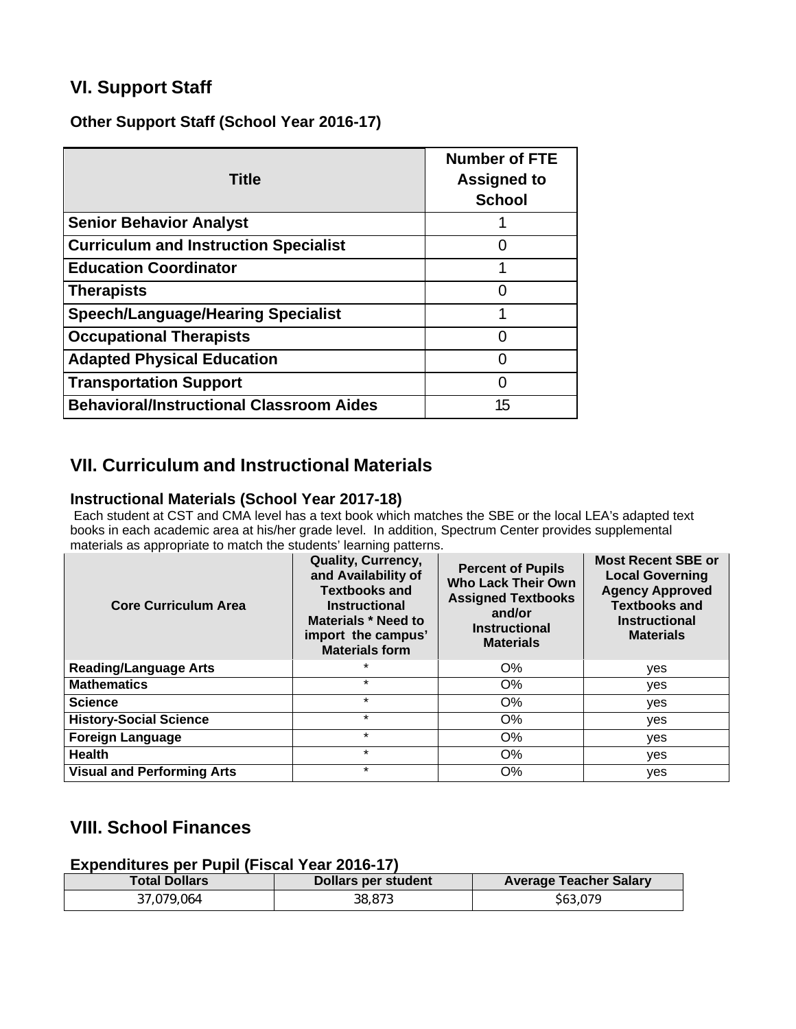## **VI. Support Staff**

**Other Support Staff (School Year 2016-17)**

| <b>Title</b>                                    | <b>Number of FTE</b><br><b>Assigned to</b><br><b>School</b> |
|-------------------------------------------------|-------------------------------------------------------------|
| <b>Senior Behavior Analyst</b>                  |                                                             |
| <b>Curriculum and Instruction Specialist</b>    |                                                             |
| <b>Education Coordinator</b>                    |                                                             |
| <b>Therapists</b>                               | 0                                                           |
| <b>Speech/Language/Hearing Specialist</b>       |                                                             |
| <b>Occupational Therapists</b>                  | 0                                                           |
| <b>Adapted Physical Education</b>               | n                                                           |
| <b>Transportation Support</b>                   | O                                                           |
| <b>Behavioral/Instructional Classroom Aides</b> | 15                                                          |

## **VII. Curriculum and Instructional Materials**

#### **Instructional Materials (School Year 2017-18)**

Each student at CST and CMA level has a text book which matches the SBE or the local LEA's adapted text books in each academic area at his/her grade level. In addition, Spectrum Center provides supplemental materials as appropriate to match the students' learning patterns.

| <b>Core Curriculum Area</b>       | Quality, Currency,<br>and Availability of<br><b>Textbooks and</b><br><b>Instructional</b><br>Materials * Need to<br>import the campus'<br><b>Materials form</b> | <b>Percent of Pupils</b><br><b>Who Lack Their Own</b><br><b>Assigned Textbooks</b><br>and/or<br><b>Instructional</b><br><b>Materials</b> | <b>Most Recent SBE or</b><br><b>Local Governing</b><br><b>Agency Approved</b><br><b>Textbooks and</b><br><b>Instructional</b><br><b>Materials</b> |
|-----------------------------------|-----------------------------------------------------------------------------------------------------------------------------------------------------------------|------------------------------------------------------------------------------------------------------------------------------------------|---------------------------------------------------------------------------------------------------------------------------------------------------|
| <b>Reading/Language Arts</b>      |                                                                                                                                                                 | $O\%$                                                                                                                                    | yes                                                                                                                                               |
| <b>Mathematics</b>                | $\star$                                                                                                                                                         | O%                                                                                                                                       | yes                                                                                                                                               |
| <b>Science</b>                    | $\star$                                                                                                                                                         | O%                                                                                                                                       | yes                                                                                                                                               |
| <b>History-Social Science</b>     | $\star$                                                                                                                                                         | O%                                                                                                                                       | yes                                                                                                                                               |
| <b>Foreign Language</b>           | $\star$                                                                                                                                                         | O%                                                                                                                                       | yes                                                                                                                                               |
| <b>Health</b>                     | $\star$                                                                                                                                                         | O%                                                                                                                                       | yes                                                                                                                                               |
| <b>Visual and Performing Arts</b> | $\star$                                                                                                                                                         | O%                                                                                                                                       | yes                                                                                                                                               |

## **VIII. School Finances**

#### **Expenditures per Pupil (Fiscal Year 2016-17)**

| <b>Total Dollars</b> | Dollars per student | <b>Average Teacher Salary</b> |
|----------------------|---------------------|-------------------------------|
| 37.079.064           | 38.873              | \$63,079                      |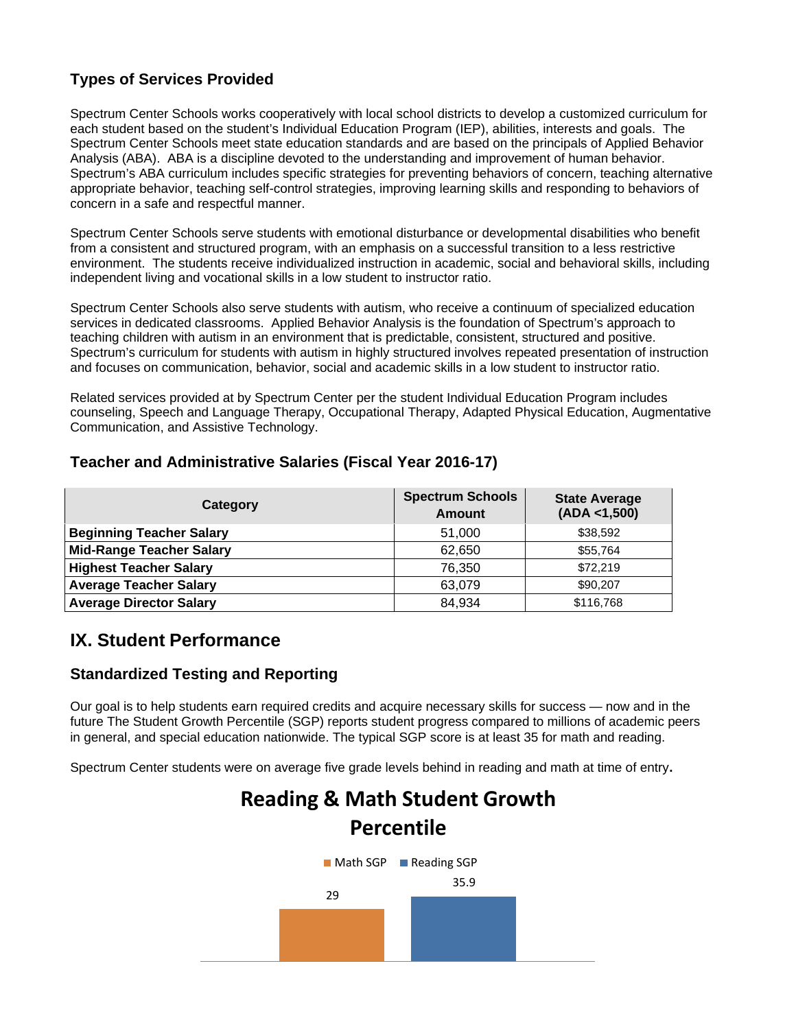## **Types of Services Provided**

Spectrum Center Schools works cooperatively with local school districts to develop a customized curriculum for each student based on the student's Individual Education Program (IEP), abilities, interests and goals. The Spectrum Center Schools meet state education standards and are based on the principals of Applied Behavior Analysis (ABA). ABA is a discipline devoted to the understanding and improvement of human behavior. Spectrum's ABA curriculum includes specific strategies for preventing behaviors of concern, teaching alternative appropriate behavior, teaching self-control strategies, improving learning skills and responding to behaviors of concern in a safe and respectful manner.

Spectrum Center Schools serve students with emotional disturbance or developmental disabilities who benefit from a consistent and structured program, with an emphasis on a successful transition to a less restrictive environment. The students receive individualized instruction in academic, social and behavioral skills, including independent living and vocational skills in a low student to instructor ratio.

Spectrum Center Schools also serve students with autism, who receive a continuum of specialized education services in dedicated classrooms. Applied Behavior Analysis is the foundation of Spectrum's approach to teaching children with autism in an environment that is predictable, consistent, structured and positive. Spectrum's curriculum for students with autism in highly structured involves repeated presentation of instruction and focuses on communication, behavior, social and academic skills in a low student to instructor ratio.

Related services provided at by Spectrum Center per the student Individual Education Program includes counseling, Speech and Language Therapy, Occupational Therapy, Adapted Physical Education, Augmentative Communication, and Assistive Technology.

### **Teacher and Administrative Salaries (Fiscal Year 2016-17)**

| Category                        | <b>Spectrum Schools</b><br><b>Amount</b> | <b>State Average</b><br>(ADA < 1,500) |
|---------------------------------|------------------------------------------|---------------------------------------|
| <b>Beginning Teacher Salary</b> | 51,000                                   | \$38,592                              |
| <b>Mid-Range Teacher Salary</b> | 62,650                                   | \$55,764                              |
| <b>Highest Teacher Salary</b>   | 76,350                                   | \$72,219                              |
| <b>Average Teacher Salary</b>   | 63,079                                   | \$90,207                              |
| <b>Average Director Salary</b>  | 84,934                                   | \$116,768                             |

## **IX. Student Performance**

### **Standardized Testing and Reporting**

Our goal is to help students earn required credits and acquire necessary skills for success — now and in the future The Student Growth Percentile (SGP) reports student progress compared to millions of academic peers in general, and special education nationwide. The typical SGP score is at least 35 for math and reading.

Spectrum Center students were on average five grade levels behind in reading and math at time of entry**.**

# **Reading & Math Student Growth Percentile**

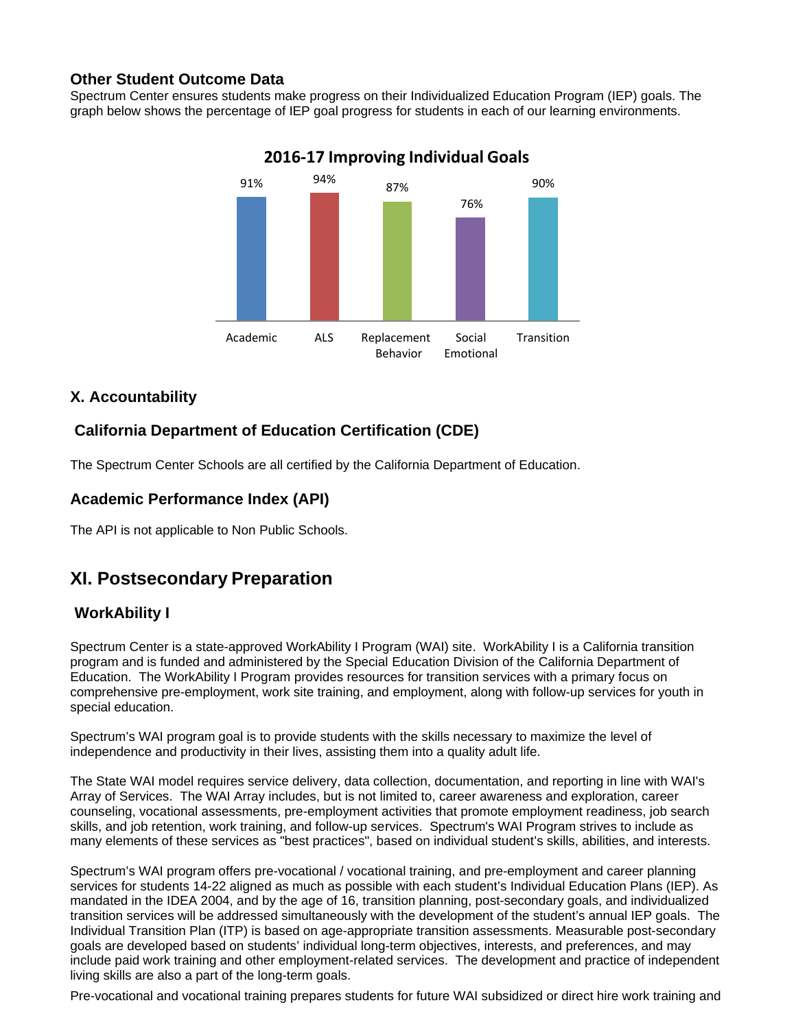### **Other Student Outcome Data**

Spectrum Center ensures students make progress on their Individualized Education Program (IEP) goals. The graph below shows the percentage of IEP goal progress for students in each of our learning environments.



## **2016‐17 Improving Individual Goals**

### **X. Accountability**

## **California Department of Education Certification (CDE)**

The Spectrum Center Schools are all certified by the California Department of Education.

### **Academic Performance Index (API)**

The API is not applicable to Non Public Schools.

## **XI. Postsecondary Preparation**

### **WorkAbility I**

Spectrum Center is a state-approved WorkAbility I Program (WAI) site. WorkAbility I is a California transition program and is funded and administered by the Special Education Division of the California Department of Education. The WorkAbility I Program provides resources for transition services with a primary focus on comprehensive pre-employment, work site training, and employment, along with follow-up services for youth in special education.

Spectrum's WAI program goal is to provide students with the skills necessary to maximize the level of independence and productivity in their lives, assisting them into a quality adult life.

The State WAI model requires service delivery, data collection, documentation, and reporting in line with WAI's Array of Services. The WAI Array includes, but is not limited to, career awareness and exploration, career counseling, vocational assessments, pre-employment activities that promote employment readiness, job search skills, and job retention, work training, and follow-up services. Spectrum's WAI Program strives to include as many elements of these services as "best practices", based on individual student's skills, abilities, and interests.

Spectrum's WAI program offers pre-vocational / vocational training, and pre-employment and career planning services for students 14-22 aligned as much as possible with each student's Individual Education Plans (IEP). As mandated in the IDEA 2004, and by the age of 16, transition planning, post-secondary goals, and individualized transition services will be addressed simultaneously with the development of the student's annual IEP goals. The Individual Transition Plan (ITP) is based on age-appropriate transition assessments. Measurable post-secondary goals are developed based on students' individual long-term objectives, interests, and preferences, and may include paid work training and other employment-related services. The development and practice of independent living skills are also a part of the long-term goals.

Pre-vocational and vocational training prepares students for future WAI subsidized or direct hire work training and